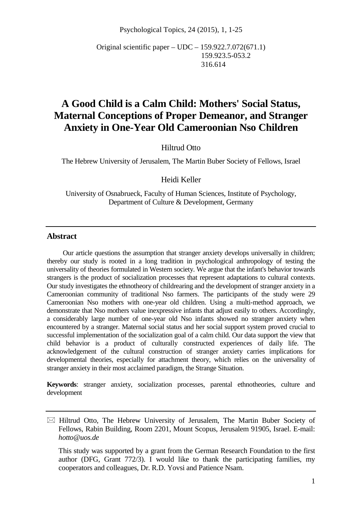Psychological Topics, 24 (2015), 1, 1-25

Original scientific paper – UDC – 159.922.7.072(671.1) 159.923.5-053.2 316.614

# **A Good Child is a Calm Child: Mothers' Social Status, Maternal Conceptions of Proper Demeanor, and Stranger Anxiety in One-Year Old Cameroonian Nso Children**

Hiltrud Otto

The Hebrew University of Jerusalem, The Martin Buber Society of Fellows, Israel

Heidi Keller

University of Osnabrueck, Faculty of Human Sciences, Institute of Psychology, Department of Culture & Development, Germany

### **Abstract**

Our article questions the assumption that stranger anxiety develops universally in children; thereby our study is rooted in a long tradition in psychological anthropology of testing the universality of theories formulated in Western society. We argue that the infant's behavior towards strangers is the product of socialization processes that represent adaptations to cultural contexts. Our study investigates the ethnotheory of childrearing and the development of stranger anxiety in a Cameroonian community of traditional Nso farmers. The participants of the study were 29 Cameroonian Nso mothers with one-year old children. Using a multi-method approach, we demonstrate that Nso mothers value inexpressive infants that adjust easily to others. Accordingly, a considerably large number of one-year old Nso infants showed no stranger anxiety when encountered by a stranger. Maternal social status and her social support system proved crucial to successful implementation of the socialization goal of a calm child. Our data support the view that child behavior is a product of culturally constructed experiences of daily life. The acknowledgement of the cultural construction of stranger anxiety carries implications for developmental theories, especially for attachment theory, which relies on the universality of stranger anxiety in their most acclaimed paradigm, the Strange Situation.

**Keywords**: stranger anxiety, socialization processes, parental ethnotheories, culture and development

 $\boxtimes$  Hiltrud Otto, The Hebrew University of Jerusalem, The Martin Buber Society of Fellows, Rabin Building, Room 2201, Mount Scopus, Jerusalem 91905, Israel. E-mail: *hotto@uos.de*

This study was supported by a grant from the German Research Foundation to the first author (DFG, Grant 772/3). I would like to thank the participating families, my cooperators and colleagues, Dr. R.D. Yovsi and Patience Nsam.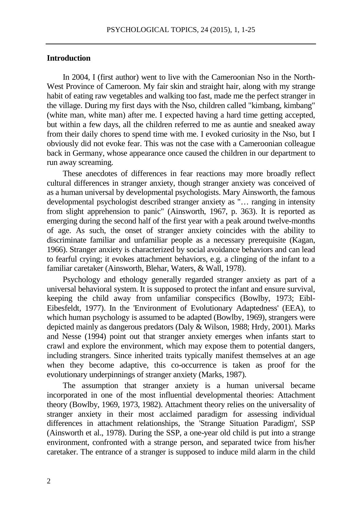## **Introduction**

In 2004, I (first author) went to live with the Cameroonian Nso in the North-West Province of Cameroon. My fair skin and straight hair, along with my strange habit of eating raw vegetables and walking too fast, made me the perfect stranger in the village. During my first days with the Nso, children called "kimbang, kimbang" (white man, white man) after me. I expected having a hard time getting accepted, but within a few days, all the children referred to me as auntie and sneaked away from their daily chores to spend time with me. I evoked curiosity in the Nso, but I obviously did not evoke fear. This was not the case with a Cameroonian colleague back in Germany, whose appearance once caused the children in our department to run away screaming.

These anecdotes of differences in fear reactions may more broadly reflect cultural differences in stranger anxiety, though stranger anxiety was conceived of as a human universal by developmental psychologists. Mary Ainsworth, the famous developmental psychologist described stranger anxiety as "… ranging in intensity from slight apprehension to panic" (Ainsworth, 1967, p. 363). It is reported as emerging during the second half of the first year with a peak around twelve-months of age. As such, the onset of stranger anxiety coincides with the ability to discriminate familiar and unfamiliar people as a necessary prerequisite (Kagan, 1966). Stranger anxiety is characterized by social avoidance behaviors and can lead to fearful crying; it evokes attachment behaviors, e.g. a clinging of the infant to a familiar caretaker (Ainsworth, Blehar, Waters, & Wall, 1978).

Psychology and ethology generally regarded stranger anxiety as part of a universal behavioral system. It is supposed to protect the infant and ensure survival, keeping the child away from unfamiliar conspecifics (Bowlby, 1973; Eibl-Eibesfeldt, 1977). In the 'Environment of Evolutionary Adaptedness' (EEA), to which human psychology is assumed to be adapted (Bowlby, 1969), strangers were depicted mainly as dangerous predators (Daly  $\&$  Wilson, 1988; Hrdy, 2001). Marks and Nesse (1994) point out that stranger anxiety emerges when infants start to crawl and explore the environment, which may expose them to potential dangers, including strangers. Since inherited traits typically manifest themselves at an age when they become adaptive, this co-occurrence is taken as proof for the evolutionary underpinnings of stranger anxiety (Marks, 1987).

The assumption that stranger anxiety is a human universal became incorporated in one of the most influential developmental theories: Attachment theory (Bowlby, 1969, 1973, 1982). Attachment theory relies on the universality of stranger anxiety in their most acclaimed paradigm for assessing individual differences in attachment relationships, the 'Strange Situation Paradigm', SSP (Ainsworth et al., 1978). During the SSP, a one-year old child is put into a strange environment, confronted with a strange person, and separated twice from his/her caretaker. The entrance of a stranger is supposed to induce mild alarm in the child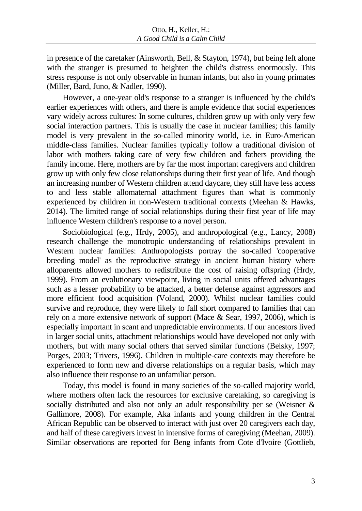in presence of the caretaker (Ainsworth, Bell, & Stayton, 1974), but being left alone with the stranger is presumed to heighten the child's distress enormously. This stress response is not only observable in human infants, but also in young primates (Miller, Bard, Juno, & Nadler, 1990).

However, a one-year old's response to a stranger is influenced by the child's earlier experiences with others, and there is ample evidence that social experiences vary widely across cultures: In some cultures, children grow up with only very few social interaction partners. This is usually the case in nuclear families; this family model is very prevalent in the so-called minority world, i.e. in Euro-American middle-class families. Nuclear families typically follow a traditional division of labor with mothers taking care of very few children and fathers providing the family income. Here, mothers are by far the most important caregivers and children grow up with only few close relationships during their first year of life. And though an increasing number of Western children attend daycare, they still have less access to and less stable allomaternal attachment figures than what is commonly experienced by children in non-Western traditional contexts (Meehan & Hawks, 2014). The limited range of social relationships during their first year of life may influence Western children's response to a novel person.

Sociobiological (e.g., Hrdy, 2005), and anthropological (e.g., Lancy, 2008) research challenge the monotropic understanding of relationships prevalent in Western nuclear families: Anthropologists portray the so-called 'cooperative breeding model' as the reproductive strategy in ancient human history where alloparents allowed mothers to redistribute the cost of raising offspring (Hrdy, 1999). From an evolutionary viewpoint, living in social units offered advantages such as a lesser probability to be attacked, a better defense against aggressors and more efficient food acquisition (Voland, 2000). Whilst nuclear families could survive and reproduce, they were likely to fall short compared to families that can rely on a more extensive network of support (Mace & Sear, 1997, 2006), which is especially important in scant and unpredictable environments. If our ancestors lived in larger social units, attachment relationships would have developed not only with mothers, but with many social others that served similar functions (Belsky, 1997; Porges, 2003; Trivers, 1996). Children in multiple-care contexts may therefore be experienced to form new and diverse relationships on a regular basis, which may also influence their response to an unfamiliar person.

Today, this model is found in many societies of the so-called majority world, where mothers often lack the resources for exclusive caretaking, so caregiving is socially distributed and also not only an adult responsibility per se (Weisner & Gallimore, 2008). For example, Aka infants and young children in the Central African Republic can be observed to interact with just over 20 caregivers each day, and half of these caregivers invest in intensive forms of caregiving (Meehan, 2009). Similar observations are reported for Beng infants from Cote d'Ivoire (Gottlieb,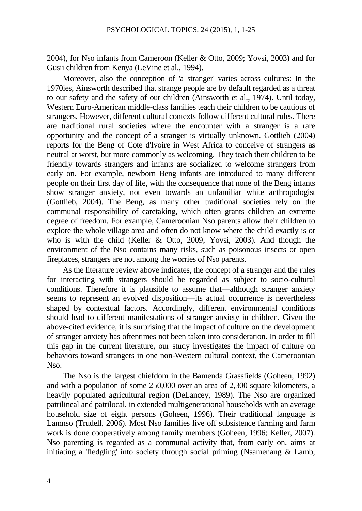2004), for Nso infants from Cameroon (Keller & Otto, 2009; Yovsi, 2003) and for Gusii children from Kenya (LeVine et al., 1994).

Moreover, also the conception of 'a stranger' varies across cultures: In the 1970ies, Ainsworth described that strange people are by default regarded as a threat to our safety and the safety of our children (Ainsworth et al., 1974). Until today, Western Euro-American middle-class families teach their children to be cautious of strangers. However, different cultural contexts follow different cultural rules. There are traditional rural societies where the encounter with a stranger is a rare opportunity and the concept of a stranger is virtually unknown. Gottlieb (2004) reports for the Beng of Cote d'Ivoire in West Africa to conceive of strangers as neutral at worst, but more commonly as welcoming. They teach their children to be friendly towards strangers and infants are socialized to welcome strangers from early on. For example, newborn Beng infants are introduced to many different people on their first day of life, with the consequence that none of the Beng infants show stranger anxiety, not even towards an unfamiliar white anthropologist (Gottlieb, 2004). The Beng, as many other traditional societies rely on the communal responsibility of caretaking, which often grants children an extreme degree of freedom. For example, Cameroonian Nso parents allow their children to explore the whole village area and often do not know where the child exactly is or who is with the child (Keller & Otto, 2009; Yovsi, 2003). And though the environment of the Nso contains many risks, such as poisonous insects or open fireplaces, strangers are not among the worries of Nso parents.

As the literature review above indicates, the concept of a stranger and the rules for interacting with strangers should be regarded as subject to socio-cultural conditions. Therefore it is plausible to assume that—although stranger anxiety seems to represent an evolved disposition—its actual occurrence is nevertheless shaped by contextual factors. Accordingly, different environmental conditions should lead to different manifestations of stranger anxiety in children. Given the above-cited evidence, it is surprising that the impact of culture on the development of stranger anxiety has oftentimes not been taken into consideration. In order to fill this gap in the current literature, our study investigates the impact of culture on behaviors toward strangers in one non-Western cultural context, the Cameroonian Nso.

The Nso is the largest chiefdom in the Bamenda Grassfields (Goheen, 1992) and with a population of some 250,000 over an area of 2,300 square kilometers, a heavily populated agricultural region (DeLancey, 1989). The Nso are organized patrilineal and patrilocal, in extended multigenerational households with an average household size of eight persons (Goheen, 1996). Their traditional language is Lamnso (Trudell, 2006). Most Nso families live off subsistence farming and farm work is done cooperatively among family members (Goheen, 1996; Keller, 2007). Nso parenting is regarded as a communal activity that, from early on, aims at initiating a 'fledgling' into society through social priming (Nsamenang & Lamb,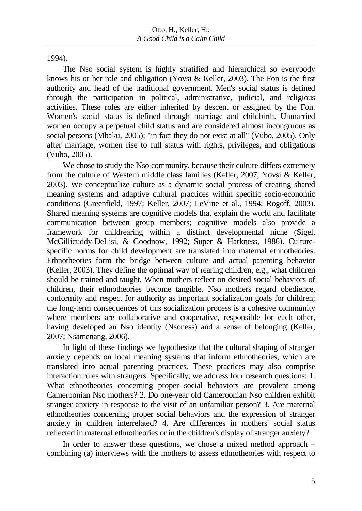1994).

The Nso social system is highly stratified and hierarchical so everybody knows his or her role and obligation (Yovsi & Keller, 2003). The Fon is the first authority and head of the traditional government. Men's social status is defined through the participation in political, administrative, judicial, and religious activities. These roles are either inherited by descent or assigned by the Fon. Women's social status is defined through marriage and childbirth. Unmarried women occupy a perpetual child status and are considered almost incongruous as social persons (Mbaku, 2005); "in fact they do not exist at all" (Vubo, 2005). Only after marriage, women rise to full status with rights, privileges, and obligations (Vubo, 2005).

We chose to study the Nso community, because their culture differs extremely from the culture of Western middle class families (Keller, 2007; Yovsi & Keller, 2003). We conceptualize culture as a dynamic social process of creating shared meaning systems and adaptive cultural practices within specific socio-economic conditions (Greenfield, 1997; Keller, 2007; LeVine et al., 1994; Rogoff, 2003). Shared meaning systems are cognitive models that explain the world and facilitate communication between group members; cognitive models also provide a framework for childrearing within a distinct developmental niche (Sigel, McGillicuddy-DeLisi, & Goodnow, 1992; Super & Harkness, 1986). Culturespecific norms for child development are translated into maternal ethnotheories. Ethnotheories form the bridge between culture and actual parenting behavior (Keller, 2003). They define the optimal way of rearing children, e.g., what children should be trained and taught. When mothers reflect on desired social behaviors of children, their ethnotheories become tangible. Nso mothers regard obedience, conformity and respect for authority as important socialization goals for children; the long-term consequences of this socialization process is a cohesive community where members are collaborative and cooperative, responsible for each other, having developed an Nso identity (Nsoness) and a sense of belonging (Keller, 2007; Nsamenang, 2006).

In light of these findings we hypothesize that the cultural shaping of stranger anxiety depends on local meaning systems that inform ethnotheories, which are translated into actual parenting practices. These practices may also comprise interaction rules with strangers. Specifically, we address four research questions: 1. What ethnotheories concerning proper social behaviors are prevalent among Cameroonian Nso mothers? 2. Do one-year old Cameroonian Nso children exhibit stranger anxiety in response to the visit of an unfamiliar person? 3. Are maternal ethnotheories concerning proper social behaviors and the expression of stranger anxiety in children interrelated? 4. Are differences in mothers' social status reflected in maternal ethnotheories or in the children's display of stranger anxiety?

In order to answer these questions, we chose a mixed method approach – combining (a) interviews with the mothers to assess ethnotheories with respect to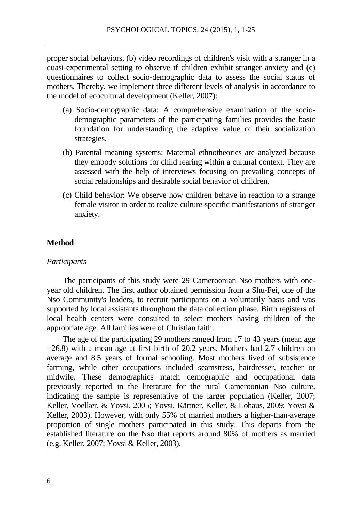proper social behaviors, (b) video recordings of children's visit with a stranger in a quasi-experimental setting to observe if children exhibit stranger anxiety and (c) questionnaires to collect socio-demographic data to assess the social status of mothers. Thereby, we implement three different levels of analysis in accordance to the model of ecocultural development (Keller, 2007):

- (a) Socio-demographic data: A comprehensive examination of the sociodemographic parameters of the participating families provides the basic foundation for understanding the adaptive value of their socialization strategies.
- (b) Parental meaning systems: Maternal ethnotheories are analyzed because they embody solutions for child rearing within a cultural context. They are assessed with the help of interviews focusing on prevailing concepts of social relationships and desirable social behavior of children.
- (c) Child behavior: We observe how children behave in reaction to a strange female visitor in order to realize culture-specific manifestations of stranger anxiety.

### **Method**

#### *Participants*

The participants of this study were 29 Cameroonian Nso mothers with oneyear old children. The first author obtained permission from a Shu-Fei, one of the Nso Community's leaders, to recruit participants on a voluntarily basis and was supported by local assistants throughout the data collection phase. Birth registers of local health centers were consulted to select mothers having children of the appropriate age. All families were of Christian faith.

The age of the participating 29 mothers ranged from 17 to 43 years (mean age  $=26.8$ ) with a mean age at first birth of 20.2 years. Mothers had 2.7 children on average and 8.5 years of formal schooling. Most mothers lived of subsistence farming, while other occupations included seamstress, hairdresser, teacher or midwife. These demographics match demographic and occupational data previously reported in the literature for the rural Cameroonian Nso culture, indicating the sample is representative of the larger population (Keller, 2007; Keller, Voelker, & Yovsi, 2005; Yovsi, Kärtner, Keller, & Lohaus, 2009; Yovsi & Keller, 2003). However, with only 55% of married mothers a higher-than-average proportion of single mothers participated in this study. This departs from the established literature on the Nso that reports around 80% of mothers as married (e.g. Keller, 2007; Yovsi & Keller, 2003).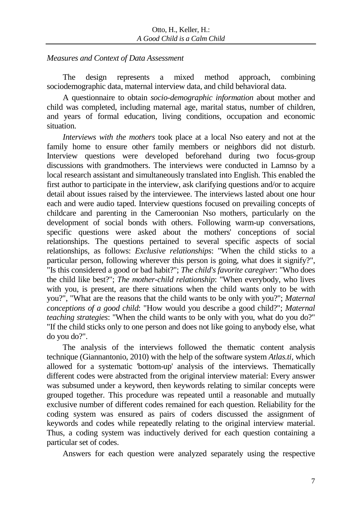# *Measures and Context of Data Assessment*

The design represents a mixed method approach, combining sociodemographic data, maternal interview data, and child behavioral data.

A questionnaire to obtain *socio-demographic information* about mother and child was completed, including maternal age, marital status, number of children, and years of formal education, living conditions, occupation and economic situation.

*Interviews with the mothers* took place at a local Nso eatery and not at the family home to ensure other family members or neighbors did not disturb. Interview questions were developed beforehand during two focus-group discussions with grandmothers. The interviews were conducted in Lamnso by a local research assistant and simultaneously translated into English. This enabled the first author to participate in the interview, ask clarifying questions and/or to acquire detail about issues raised by the interviewee. The interviews lasted about one hour each and were audio taped. Interview questions focused on prevailing concepts of childcare and parenting in the Cameroonian Nso mothers, particularly on the development of social bonds with others. Following warm-up conversations, specific questions were asked about the mothers' conceptions of social relationships. The questions pertained to several specific aspects of social relationships, as follows: *Exclusive relationships*: "When the child sticks to a particular person, following wherever this person is going, what does it signify?", "Is this considered a good or bad habit?"; *The child's favorite caregiver*: "Who does the child like best?"; *The mother-child relationship*: "When everybody, who lives with you, is present, are there situations when the child wants only to be with you?", "What are the reasons that the child wants to be only with you?"; *Maternal conceptions of a good child*: "How would you describe a good child?"; *Maternal teaching strategies*: "When the child wants to be only with you, what do you do?" "If the child sticks only to one person and does not like going to anybody else, what do you do?".

The analysis of the interviews followed the thematic content analysis technique (Giannantonio, 2010) with the help of the software system *Atlas.ti*, which allowed for a systematic 'bottom-up' analysis of the interviews. Thematically different codes were abstracted from the original interview material: Every answer was subsumed under a keyword, then keywords relating to similar concepts were grouped together. This procedure was repeated until a reasonable and mutually exclusive number of different codes remained for each question. Reliability for the coding system was ensured as pairs of coders discussed the assignment of keywords and codes while repeatedly relating to the original interview material. Thus, a coding system was inductively derived for each question containing a particular set of codes.

Answers for each question were analyzed separately using the respective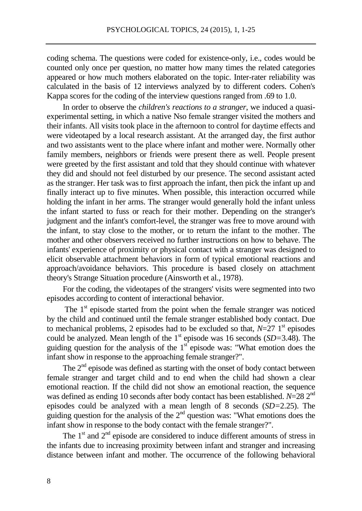coding schema. The questions were coded for existence-only, i.e., codes would be counted only once per question, no matter how many times the related categories appeared or how much mothers elaborated on the topic. Inter-rater reliability was calculated in the basis of 12 interviews analyzed by to different coders. Cohen's Kappa scores for the coding of the interview questions ranged from .69 to 1.0.

In order to observe the *children's reactions to a stranger*, we induced a quasiexperimental setting, in which a native Nso female stranger visited the mothers and their infants. All visits took place in the afternoon to control for daytime effects and were videotaped by a local research assistant. At the arranged day, the first author and two assistants went to the place where infant and mother were. Normally other family members, neighbors or friends were present there as well. People present were greeted by the first assistant and told that they should continue with whatever they did and should not feel disturbed by our presence. The second assistant acted as the stranger. Her task was to first approach the infant, then pick the infant up and finally interact up to five minutes. When possible, this interaction occurred while holding the infant in her arms. The stranger would generally hold the infant unless the infant started to fuss or reach for their mother. Depending on the stranger's judgment and the infant's comfort-level, the stranger was free to move around with the infant, to stay close to the mother, or to return the infant to the mother. The mother and other observers received no further instructions on how to behave. The infants' experience of proximity or physical contact with a stranger was designed to elicit observable attachment behaviors in form of typical emotional reactions and approach/avoidance behaviors. This procedure is based closely on attachment theory's Strange Situation procedure (Ainsworth et al., 1978).

For the coding, the videotapes of the strangers' visits were segmented into two episodes according to content of interactional behavior.

The 1<sup>st</sup> episode started from the point when the female stranger was noticed by the child and continued until the female stranger established body contact. Due to mechanical problems, 2 episodes had to be excluded so that,  $N=27$  1<sup>st</sup> episodes could be analyzed. Mean length of the 1<sup>st</sup> episode was 16 seconds  $(SD=3.48)$ . The guiding question for the analysis of the  $1<sup>st</sup>$  episode was: "What emotion does the infant show in response to the approaching female stranger?".

The  $2<sup>nd</sup>$  episode was defined as starting with the onset of body contact between female stranger and target child and to end when the child had shown a clear emotional reaction. If the child did not show an emotional reaction, the sequence was defined as ending 10 seconds after body contact has been established. *N*=28 2nd episodes could be analyzed with a mean length of 8 seconds (*SD=*2.25). The guiding question for the analysis of the  $2<sup>nd</sup>$  question was: "What emotions does the infant show in response to the body contact with the female stranger?".

The  $1<sup>st</sup>$  and  $2<sup>nd</sup>$  episode are considered to induce different amounts of stress in the infants due to increasing proximity between infant and stranger and increasing distance between infant and mother. The occurrence of the following behavioral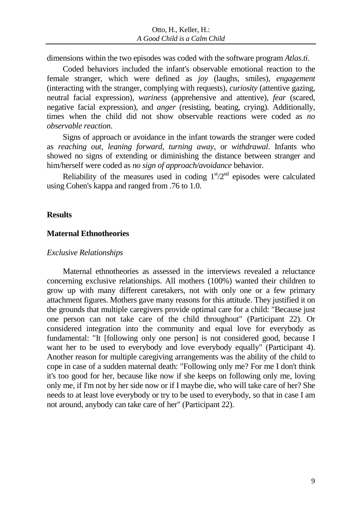dimensions within the two episodes was coded with the software program *Atlas.ti*.

Coded behaviors included the infant's observable emotional reaction to the female stranger, which were defined as *joy* (laughs, smiles), *engagement* (interacting with the stranger, complying with requests), *curiosity* (attentive gazing, neutral facial expression), *wariness* (apprehensive and attentive), *fear* (scared, negative facial expression), and *anger* (resisting, beating, crying). Additionally, times when the child did not show observable reactions were coded as *no observable reaction*.

Signs of approach or avoidance in the infant towards the stranger were coded as *reaching out*, *leaning forward*, *turning away*, or *withdrawal*. Infants who showed no signs of extending or diminishing the distance between stranger and him/herself were coded as *no sign of approach/avoidance* behavior.

Reliability of the measures used in coding  $1<sup>st</sup>/2<sup>nd</sup>$  episodes were calculated using Cohen's kappa and ranged from .76 to 1.0.

### **Results**

### **Maternal Ethnotheories**

#### *Exclusive Relationships*

Maternal ethnotheories as assessed in the interviews revealed a reluctance concerning exclusive relationships. All mothers (100%) wanted their children to grow up with many different caretakers, not with only one or a few primary attachment figures. Mothers gave many reasons for this attitude. They justified it on the grounds that multiple caregivers provide optimal care for a child: "Because just one person can not take care of the child throughout" (Participant 22). Or considered integration into the community and equal love for everybody as fundamental: "It [following only one person] is not considered good, because I want her to be used to everybody and love everybody equally" (Participant 4). Another reason for multiple caregiving arrangements was the ability of the child to cope in case of a sudden maternal death: "Following only me? For me I don't think it's too good for her, because like now if she keeps on following only me, loving only me, if I'm not by her side now or if I maybe die, who will take care of her? She needs to at least love everybody or try to be used to everybody, so that in case I am not around, anybody can take care of her" (Participant 22).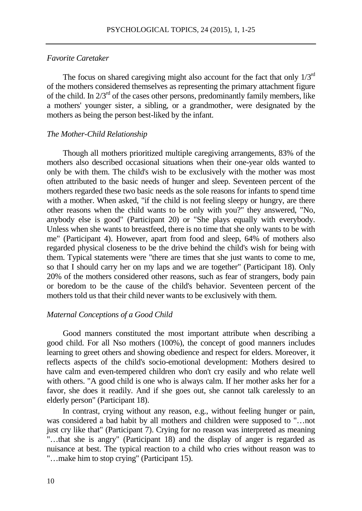## *Favorite Caretaker*

The focus on shared caregiving might also account for the fact that only  $1/3<sup>rd</sup>$ of the mothers considered themselves as representing the primary attachment figure of the child. In  $2/3<sup>rd</sup>$  of the cases other persons, predominantly family members, like a mothers' younger sister, a sibling, or a grandmother, were designated by the mothers as being the person best-liked by the infant.

#### *The Mother-Child Relationship*

Though all mothers prioritized multiple caregiving arrangements, 83% of the mothers also described occasional situations when their one-year olds wanted to only be with them. The child's wish to be exclusively with the mother was most often attributed to the basic needs of hunger and sleep. Seventeen percent of the mothers regarded these two basic needs as the sole reasons for infants to spend time with a mother. When asked, "if the child is not feeling sleepy or hungry, are there other reasons when the child wants to be only with you?" they answered, "No, anybody else is good" (Participant 20) or "She plays equally with everybody. Unless when she wants to breastfeed, there is no time that she only wants to be with me" (Participant 4). However, apart from food and sleep, 64% of mothers also regarded physical closeness to be the drive behind the child's wish for being with them. Typical statements were "there are times that she just wants to come to me, so that I should carry her on my laps and we are together" (Participant 18). Only 20% of the mothers considered other reasons, such as fear of strangers, body pain or boredom to be the cause of the child's behavior. Seventeen percent of the mothers told us that their child never wants to be exclusively with them.

#### *Maternal Conceptions of a Good Child*

Good manners constituted the most important attribute when describing a good child. For all Nso mothers (100%), the concept of good manners includes learning to greet others and showing obedience and respect for elders. Moreover, it reflects aspects of the child's socio-emotional development: Mothers desired to have calm and even-tempered children who don't cry easily and who relate well with others. "A good child is one who is always calm. If her mother asks her for a favor, she does it readily. And if she goes out, she cannot talk carelessly to an elderly person" (Participant 18).

In contrast, crying without any reason, e.g., without feeling hunger or pain, was considered a bad habit by all mothers and children were supposed to "…not just cry like that" (Participant 7). Crying for no reason was interpreted as meaning "…that she is angry" (Participant 18) and the display of anger is regarded as nuisance at best. The typical reaction to a child who cries without reason was to "…make him to stop crying" (Participant 15).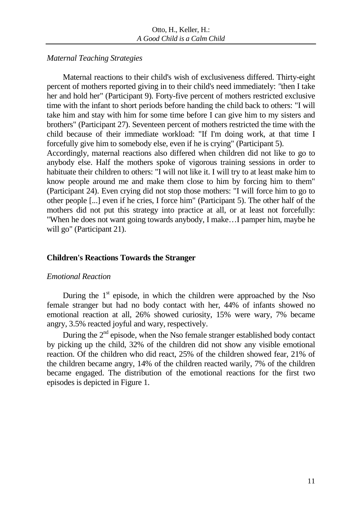# *Maternal Teaching Strategies*

Maternal reactions to their child's wish of exclusiveness differed. Thirty-eight percent of mothers reported giving in to their child's need immediately: *"*then I take her and hold her" (Participant 9). Forty-five percent of mothers restricted exclusive time with the infant to short periods before handing the child back to others: "I will take him and stay with him for some time before I can give him to my sisters and brothers" (Participant 27). Seventeen percent of mothers restricted the time with the child because of their immediate workload: "If I'm doing work, at that time I forcefully give him to somebody else, even if he is crying" (Participant 5).

Accordingly, maternal reactions also differed when children did not like to go to anybody else. Half the mothers spoke of vigorous training sessions in order to habituate their children to others: "I will not like it. I will try to at least make him to know people around me and make them close to him by forcing him to them" (Participant 24). Even crying did not stop those mothers: "I will force him to go to other people [...] even if he cries, I force him" (Participant 5). The other half of the mothers did not put this strategy into practice at all, or at least not forcefully: "When he does not want going towards anybody, I make…I pamper him, maybe he will go" (Participant 21).

# **Children's Reactions Towards the Stranger**

# *Emotional Reaction*

During the  $1<sup>st</sup>$  episode, in which the children were approached by the Nso female stranger but had no body contact with her, 44% of infants showed no emotional reaction at all, 26% showed curiosity, 15% were wary, 7% became angry, 3.5% reacted joyful and wary, respectively.

During the  $2<sup>nd</sup>$  episode, when the Nso female stranger established body contact by picking up the child, 32% of the children did not show any visible emotional reaction. Of the children who did react, 25% of the children showed fear, 21% of the children became angry, 14% of the children reacted warily, 7% of the children became engaged. The distribution of the emotional reactions for the first two episodes is depicted in Figure 1.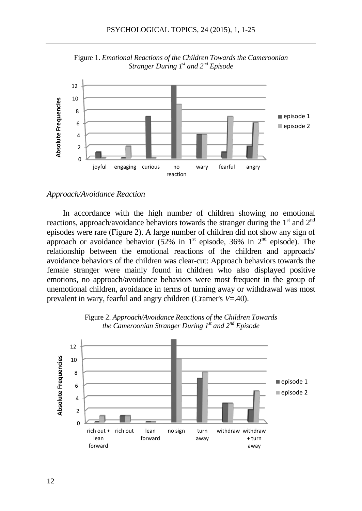

Figure 1. *Emotional Reactions of the Children Towards the Cameroonian Stranger During 1st and 2nd Episode*

## *Approach/Avoidance Reaction*

In accordance with the high number of children showing no emotional reactions, approach/avoidance behaviors towards the stranger during the  $1<sup>st</sup>$  and  $2<sup>nd</sup>$ episodes were rare (Figure 2). A large number of children did not show any sign of approach or avoidance behavior  $(52\%$  in 1<sup>st</sup> episode, 36% in 2<sup>nd</sup> episode). The relationship between the emotional reactions of the children and approach/ avoidance behaviors of the children was clear-cut: Approach behaviors towards the female stranger were mainly found in children who also displayed positive emotions, no approach/avoidance behaviors were most frequent in the group of unemotional children, avoidance in terms of turning away or withdrawal was most prevalent in wary, fearful and angry children (Cramer's *V*=.40).



Figure 2. *Approach/Avoidance Reactions of the Children Towards the Cameroonian Stranger During 1st and 2nd Episode*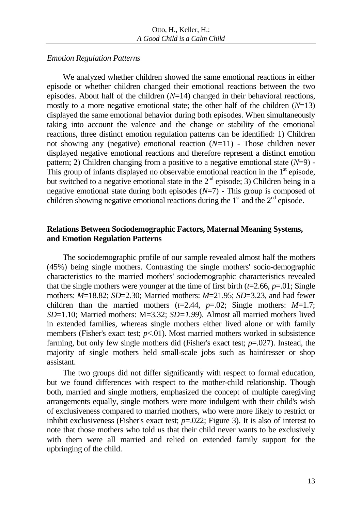## *Emotion Regulation Patterns*

We analyzed whether children showed the same emotional reactions in either episode or whether children changed their emotional reactions between the two episodes. About half of the children (*N*=14) changed in their behavioral reactions, mostly to a more negative emotional state; the other half of the children  $(N=13)$ displayed the same emotional behavior during both episodes. When simultaneously taking into account the valence and the change or stability of the emotional reactions, three distinct emotion regulation patterns can be identified: 1) Children not showing any (negative) emotional reaction (*N=*11) - Those children never displayed negative emotional reactions and therefore represent a distinct emotion pattern; 2) Children changing from a positive to a negative emotional state (*N*=9) - This group of infants displayed no observable emotional reaction in the  $1<sup>st</sup>$  episode, but switched to a negative emotional state in the  $2<sup>nd</sup>$  episode; 3) Children being in a negative emotional state during both episodes  $(N=7)$  - This group is composed of children showing negative emotional reactions during the  $1<sup>st</sup>$  and the  $2<sup>nd</sup>$  episode.

# **Relations Between Sociodemographic Factors, Maternal Meaning Systems, and Emotion Regulation Patterns**

The sociodemographic profile of our sample revealed almost half the mothers (45%) being single mothers. Contrasting the single mothers' socio-demographic characteristics to the married mothers' sociodemographic characteristics revealed that the single mothers were younger at the time of first birth  $(t=2.66, p=.01;$  Single mothers: *M*=18.82; *SD*=2.30; Married mothers: *M*=21.95; *SD*=3.23*,* and had fewer children than the married mothers  $(t=2.44, p=.02;$  Single mothers:  $M=1.7;$ *SD*=1.10; Married mothers: M=3.32; *SD=1.99*). Almost all married mothers lived in extended families, whereas single mothers either lived alone or with family members (Fisher's exact test; *p*<.01). Most married mothers worked in subsistence farming, but only few single mothers did (Fisher's exact test; *p*=.027). Instead, the majority of single mothers held small-scale jobs such as hairdresser or shop assistant.

The two groups did not differ significantly with respect to formal education, but we found differences with respect to the mother-child relationship. Though both, married and single mothers, emphasized the concept of multiple caregiving arrangements equally, single mothers were more indulgent with their child's wish of exclusiveness compared to married mothers, who were more likely to restrict or inhibit exclusiveness (Fisher's exact test; *p*=.022; Figure 3). It is also of interest to note that those mothers who told us that their child never wants to be exclusively with them were all married and relied on extended family support for the upbringing of the child.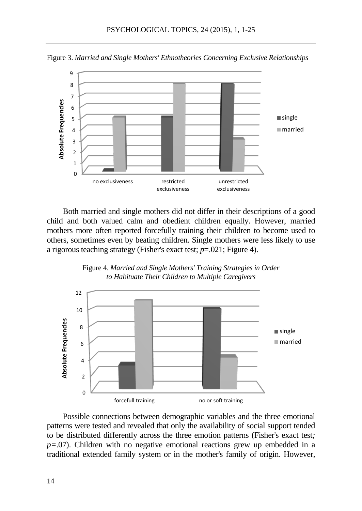Figure 3. *Married and Single Mothers' Ethnotheories Concerning Exclusive Relationships*



Both married and single mothers did not differ in their descriptions of a good child and both valued calm and obedient children equally. However, married mothers more often reported forcefully training their children to become used to others, sometimes even by beating children. Single mothers were less likely to use a rigorous teaching strategy (Fisher's exact test; *p*=.021; Figure 4).





Possible connections between demographic variables and the three emotional patterns were tested and revealed that only the availability of social support tended to be distributed differently across the three emotion patterns (Fisher's exact test*; p=*.07). Children with no negative emotional reactions grew up embedded in a traditional extended family system or in the mother's family of origin. However,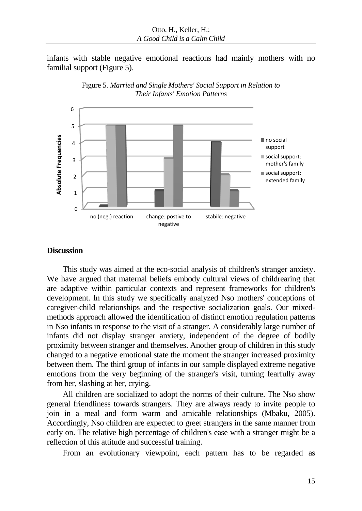infants with stable negative emotional reactions had mainly mothers with no familial support (Figure 5).





## **Discussion**

This study was aimed at the eco-social analysis of children's stranger anxiety. We have argued that maternal beliefs embody cultural views of childrearing that are adaptive within particular contexts and represent frameworks for children's development. In this study we specifically analyzed Nso mothers' conceptions of caregiver-child relationships and the respective socialization goals. Our mixedmethods approach allowed the identification of distinct emotion regulation patterns in Nso infants in response to the visit of a stranger. A considerably large number of infants did not display stranger anxiety, independent of the degree of bodily proximity between stranger and themselves. Another group of children in this study changed to a negative emotional state the moment the stranger increased proximity between them. The third group of infants in our sample displayed extreme negative emotions from the very beginning of the stranger's visit, turning fearfully away from her, slashing at her, crying.

All children are socialized to adopt the norms of their culture. The Nso show general friendliness towards strangers. They are always ready to invite people to join in a meal and form warm and amicable relationships (Mbaku, 2005). Accordingly, Nso children are expected to greet strangers in the same manner from early on. The relative high percentage of children's ease with a stranger might be a reflection of this attitude and successful training.

From an evolutionary viewpoint, each pattern has to be regarded as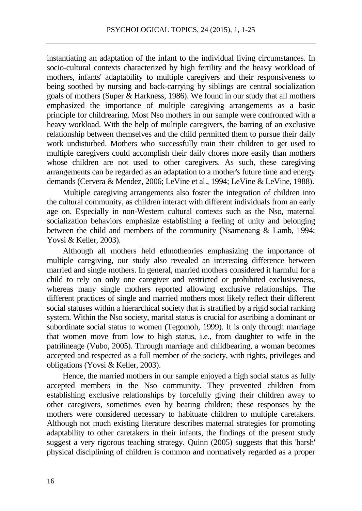instantiating an adaptation of the infant to the individual living circumstances. In socio-cultural contexts characterized by high fertility and the heavy workload of mothers, infants' adaptability to multiple caregivers and their responsiveness to being soothed by nursing and back-carrying by siblings are central socialization goals of mothers (Super  $\&$  Harkness, 1986). We found in our study that all mothers emphasized the importance of multiple caregiving arrangements as a basic principle for childrearing. Most Nso mothers in our sample were confronted with a heavy workload. With the help of multiple caregivers, the barring of an exclusive relationship between themselves and the child permitted them to pursue their daily work undisturbed. Mothers who successfully train their children to get used to multiple caregivers could accomplish their daily chores more easily than mothers whose children are not used to other caregivers. As such, these caregiving arrangements can be regarded as an adaptation to a mother's future time and energy demands (Cervera & Mendez, 2006; LeVine et al., 1994; LeVine & LeVine, 1988).

Multiple caregiving arrangements also foster the integration of children into the cultural community, as children interact with different individuals from an early age on. Especially in non-Western cultural contexts such as the Nso, maternal socialization behaviors emphasize establishing a feeling of unity and belonging between the child and members of the community (Nsamenang & Lamb, 1994; Yovsi & Keller, 2003).

Although all mothers held ethnotheories emphasizing the importance of multiple caregiving, our study also revealed an interesting difference between married and single mothers. In general, married mothers considered it harmful for a child to rely on only one caregiver and restricted or prohibited exclusiveness, whereas many single mothers reported allowing exclusive relationships. The different practices of single and married mothers most likely reflect their different social statuses within a hierarchical society that is stratified by a rigid social ranking system. Within the Nso society, marital status is crucial for ascribing a dominant or subordinate social status to women (Tegomoh, 1999). It is only through marriage that women move from low to high status, i.e., from daughter to wife in the patrilineage (Vubo, 2005). Through marriage and childbearing, a woman becomes accepted and respected as a full member of the society, with rights, privileges and obligations (Yovsi & Keller, 2003).

Hence, the married mothers in our sample enjoyed a high social status as fully accepted members in the Nso community. They prevented children from establishing exclusive relationships by forcefully giving their children away to other caregivers, sometimes even by beating children; these responses by the mothers were considered necessary to habituate children to multiple caretakers. Although not much existing literature describes maternal strategies for promoting adaptability to other caretakers in their infants, the findings of the present study suggest a very rigorous teaching strategy. Quinn (2005) suggests that this 'harsh' physical disciplining of children is common and normatively regarded as a proper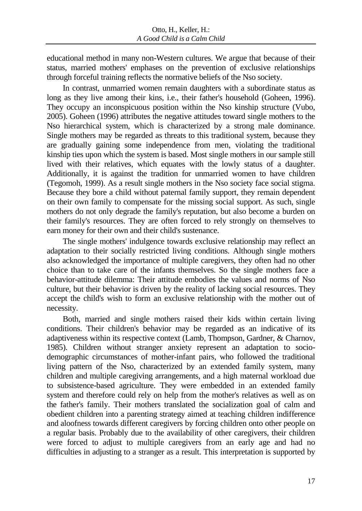educational method in many non-Western cultures. We argue that because of their status, married mothers' emphases on the prevention of exclusive relationships through forceful training reflects the normative beliefs of the Nso society.

In contrast, unmarried women remain daughters with a subordinate status as long as they live among their kins, i.e., their father's household (Goheen, 1996). They occupy an inconspicuous position within the Nso kinship structure (Vubo, 2005). Goheen (1996) attributes the negative attitudes toward single mothers to the Nso hierarchical system, which is characterized by a strong male dominance. Single mothers may be regarded as threats to this traditional system, because they are gradually gaining some independence from men, violating the traditional kinship ties upon which the system is based. Most single mothers in our sample still lived with their relatives, which equates with the lowly status of a daughter. Additionally, it is against the tradition for unmarried women to have children (Tegomoh, 1999). As a result single mothers in the Nso society face social stigma. Because they bore a child without paternal family support, they remain dependent on their own family to compensate for the missing social support. As such, single mothers do not only degrade the family's reputation, but also become a burden on their family's resources. They are often forced to rely strongly on themselves to earn money for their own and their child's sustenance.

The single mothers' indulgence towards exclusive relationship may reflect an adaptation to their socially restricted living conditions. Although single mothers also acknowledged the importance of multiple caregivers, they often had no other choice than to take care of the infants themselves. So the single mothers face a behavior-attitude dilemma: Their attitude embodies the values and norms of Nso culture, but their behavior is driven by the reality of lacking social resources. They accept the child's wish to form an exclusive relationship with the mother out of necessity.

Both, married and single mothers raised their kids within certain living conditions. Their children's behavior may be regarded as an indicative of its adaptiveness within its respective context (Lamb, Thompson, Gardner, & Charnov, 1985). Children without stranger anxiety represent an adaptation to sociodemographic circumstances of mother-infant pairs, who followed the traditional living pattern of the Nso, characterized by an extended family system, many children and multiple caregiving arrangements, and a high maternal workload due to subsistence-based agriculture. They were embedded in an extended family system and therefore could rely on help from the mother's relatives as well as on the father's family. Their mothers translated the socialization goal of calm and obedient children into a parenting strategy aimed at teaching children indifference and aloofness towards different caregivers by forcing children onto other people on a regular basis. Probably due to the availability of other caregivers, their children were forced to adjust to multiple caregivers from an early age and had no difficulties in adjusting to a stranger as a result. This interpretation is supported by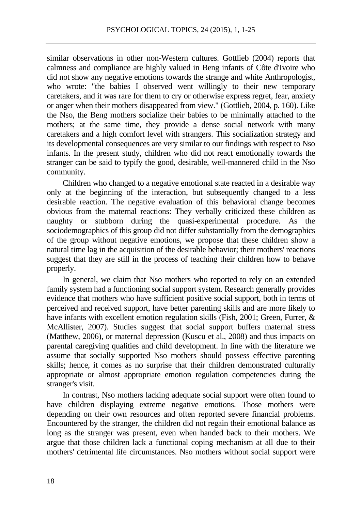similar observations in other non-Western cultures. Gottlieb (2004) reports that calmness and compliance are highly valued in Beng infants of Côte d'Ivoire who did not show any negative emotions towards the strange and white Anthropologist, who wrote: "the babies I observed went willingly to their new temporary caretakers, and it was rare for them to cry or otherwise express regret, fear, anxiety or anger when their mothers disappeared from view." (Gottlieb, 2004, p. 160). Like the Nso, the Beng mothers socialize their babies to be minimally attached to the mothers; at the same time, they provide a dense social network with many caretakers and a high comfort level with strangers. This socialization strategy and its developmental consequences are very similar to our findings with respect to Nso infants. In the present study, children who did not react emotionally towards the stranger can be said to typify the good, desirable, well-mannered child in the Nso community.

Children who changed to a negative emotional state reacted in a desirable way only at the beginning of the interaction, but subsequently changed to a less desirable reaction. The negative evaluation of this behavioral change becomes obvious from the maternal reactions: They verbally criticized these children as naughty or stubborn during the quasi-experimental procedure. As the sociodemographics of this group did not differ substantially from the demographics of the group without negative emotions, we propose that these children show a natural time lag in the acquisition of the desirable behavior; their mothers' reactions suggest that they are still in the process of teaching their children how to behave properly.

In general, we claim that Nso mothers who reported to rely on an extended family system had a functioning social support system. Research generally provides evidence that mothers who have sufficient positive social support, both in terms of perceived and received support, have better parenting skills and are more likely to have infants with excellent emotion regulation skills (Fish, 2001; Green, Furrer, & McAllister, 2007). Studies suggest that social support buffers maternal stress (Matthew, 2006), or maternal depression (Kuscu et al., 2008) and thus impacts on parental caregiving qualities and child development. In line with the literature we assume that socially supported Nso mothers should possess effective parenting skills; hence, it comes as no surprise that their children demonstrated culturally appropriate or almost appropriate emotion regulation competencies during the stranger's visit.

In contrast, Nso mothers lacking adequate social support were often found to have children displaying extreme negative emotions. Those mothers were depending on their own resources and often reported severe financial problems. Encountered by the stranger, the children did not regain their emotional balance as long as the stranger was present, even when handed back to their mothers. We argue that those children lack a functional coping mechanism at all due to their mothers' detrimental life circumstances. Nso mothers without social support were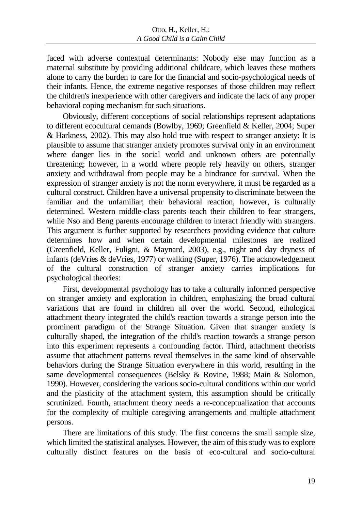faced with adverse contextual determinants: Nobody else may function as a maternal substitute by providing additional childcare, which leaves these mothers alone to carry the burden to care for the financial and socio-psychological needs of their infants. Hence, the extreme negative responses of those children may reflect the children's inexperience with other caregivers and indicate the lack of any proper behavioral coping mechanism for such situations.

Obviously, different conceptions of social relationships represent adaptations to different ecocultural demands (Bowlby, 1969; Greenfield & Keller, 2004; Super & Harkness, 2002). This may also hold true with respect to stranger anxiety: It is plausible to assume that stranger anxiety promotes survival only in an environment where danger lies in the social world and unknown others are potentially threatening; however, in a world where people rely heavily on others, stranger anxiety and withdrawal from people may be a hindrance for survival. When the expression of stranger anxiety is not the norm everywhere, it must be regarded as a cultural construct. Children have a universal propensity to discriminate between the familiar and the unfamiliar; their behavioral reaction, however, is culturally determined. Western middle-class parents teach their children to fear strangers, while Nso and Beng parents encourage children to interact friendly with strangers. This argument is further supported by researchers providing evidence that culture determines how and when certain developmental milestones are realized (Greenfield, Keller, Fuligni, & Maynard, 2003), e.g., night and day dryness of infants (deVries & deVries, 1977) or walking (Super, 1976). The acknowledgement of the cultural construction of stranger anxiety carries implications for psychological theories:

First, developmental psychology has to take a culturally informed perspective on stranger anxiety and exploration in children, emphasizing the broad cultural variations that are found in children all over the world. Second, ethological attachment theory integrated the child's reaction towards a strange person into the prominent paradigm of the Strange Situation. Given that stranger anxiety is culturally shaped, the integration of the child's reaction towards a strange person into this experiment represents a confounding factor. Third, attachment theorists assume that attachment patterns reveal themselves in the same kind of observable behaviors during the Strange Situation everywhere in this world, resulting in the same developmental consequences (Belsky & Rovine, 1988; Main & Solomon, 1990). However, considering the various socio-cultural conditions within our world and the plasticity of the attachment system, this assumption should be critically scrutinized. Fourth, attachment theory needs a re-conceptualization that accounts for the complexity of multiple caregiving arrangements and multiple attachment persons.

There are limitations of this study. The first concerns the small sample size, which limited the statistical analyses. However, the aim of this study was to explore culturally distinct features on the basis of eco-cultural and socio-cultural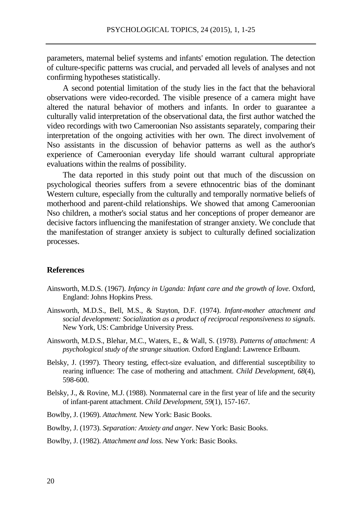parameters, maternal belief systems and infants' emotion regulation. The detection of culture-specific patterns was crucial, and pervaded all levels of analyses and not confirming hypotheses statistically.

A second potential limitation of the study lies in the fact that the behavioral observations were video-recorded. The visible presence of a camera might have altered the natural behavior of mothers and infants. In order to guarantee a culturally valid interpretation of the observational data, the first author watched the video recordings with two Cameroonian Nso assistants separately, comparing their interpretation of the ongoing activities with her own. The direct involvement of Nso assistants in the discussion of behavior patterns as well as the author's experience of Cameroonian everyday life should warrant cultural appropriate evaluations within the realms of possibility.

The data reported in this study point out that much of the discussion on psychological theories suffers from a severe ethnocentric bias of the dominant Western culture, especially from the culturally and temporally normative beliefs of motherhood and parent-child relationships. We showed that among Cameroonian Nso children, a mother's social status and her conceptions of proper demeanor are decisive factors influencing the manifestation of stranger anxiety. We conclude that the manifestation of stranger anxiety is subject to culturally defined socialization processes.

#### **References**

- Ainsworth, M.D.S. (1967). *Infancy in Uganda: Infant care and the growth of love*. Oxford, England: Johns Hopkins Press.
- Ainsworth, M.D.S., Bell, M.S., & Stayton, D.F. (1974). *Infant-mother attachment and social development: Socialization as a product of reciprocal responsiveness to signals*. New York, US: Cambridge University Press.
- Ainsworth, M.D.S., Blehar, M.C., Waters, E., & Wall, S. (1978). *Patterns of attachment: A psychological study of the strange situation.* Oxford England: Lawrence Erlbaum.
- Belsky, J. (1997). Theory testing, effect-size evaluation, and differential susceptibility to rearing influence: The case of mothering and attachment. *Child Development, 68*(4), 598-600.
- Belsky, J., & Rovine, M.J. (1988). Nonmaternal care in the first year of life and the security of infant-parent attachment. *Child Development, 59*(1)*,* 157-167*.*
- Bowlby, J. (1969). *Attachment.* New York: Basic Books.
- Bowlby, J. (1973). *Separation: Anxiety and anger*. New York: Basic Books.

Bowlby, J. (1982). *Attachment and loss.* New York: Basic Books.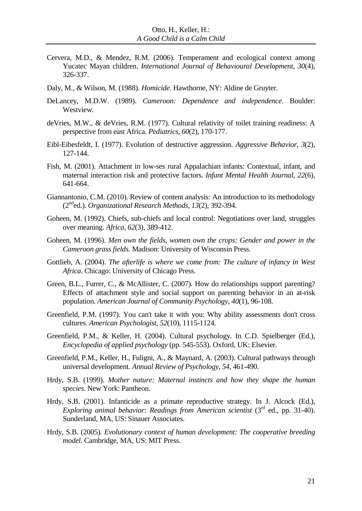- Cervera, M.D., & Mendez, R.M. (2006). Temperament and ecological context among Yucatec Mayan children. *International Journal of Behavioural Development, 30*(4)*,*  326-337.
- Daly, M., & Wilson, M. (1988). *Homicide*. Hawthorne, NY: Aldine de Gruyter.
- DeLancey, M.D.W. (1989). *Cameroon: Dependence and independence*. Boulder: Westview.
- deVries, M.W., & deVries, R.M. (1977). Cultural relativity of toilet training readiness: A perspective from east Africa. *Pediatrics, 60*(2), 170-177.
- Eibl-Eibesfeldt, I. (1977). Evolution of destructive aggression. *Aggressive Behavior, 3*(2), 127-144.
- Fish, M. (2001). Attachment in low-ses rural Appalachian infants: Contextual, infant, and maternal interaction risk and protective factors. *Infant Mental Health Journal, 22*(6), 641-664.
- Giannantonio, C.M. (2010). Review of content analysis: An introduction to its methodology (2nded.). *Organizational Research Methods, 13*(2), 392-394.
- Goheen, M. (1992). Chiefs, sub-chiefs and local control: Negotiations over land, struggles over meaning. *Africa, 62*(3), 389-412.
- Goheen, M. (1996). *Men own the fields, women own the crops: Gender and power in the Cameroon grass fields*. Madison: University of Wisconsin Press.
- Gottlieb, A. (2004). *The afterlife is where we come from: The culture of infancy in West Africa*. Chicago: University of Chicago Press.
- Green, B.L., Furrer, C., & McAllister, C. (2007). How do relationships support parenting? Effects of attachment style and social support on parenting behavior in an at-risk population. *American Journal of Community Psychology, 40*(1), 96-108.
- Greenfield, P.M. (1997). You can't take it with you: Why ability assessments don't cross cultures. *American Psychologist, 52*(10), 1115-1124.
- Greenfield, P.M., & Keller, H. (2004). Cultural psychology. In C.D. Spielberger (Ed.), *Encyclopedia of applied psychology* (pp. 545-553). Oxford, UK: Elsevier.
- Greenfield, P.M., Keller, H., Fuligni, A., & Maynard, A. (2003). Cultural pathways through universal development. *Annual Review of Psychology, 54,* 461-490.
- Hrdy, S.B. (1999). *Mother nature: Maternal instincts and how they shape the human species*. New York: Pantheon.
- Hrdy, S.B. (2001). Infanticide as a primate reproductive strategy. In J. Alcock (Ed.), *Exploring animal behavior: Readings from American scientist* (3<sup>rd</sup> ed., pp. 31-40). Sunderland, MA, US: Sinauer Associates.
- Hrdy, S.B. (2005). *Evolutionary context of human development: The cooperative breeding model.* Cambridge, MA, US: MIT Press.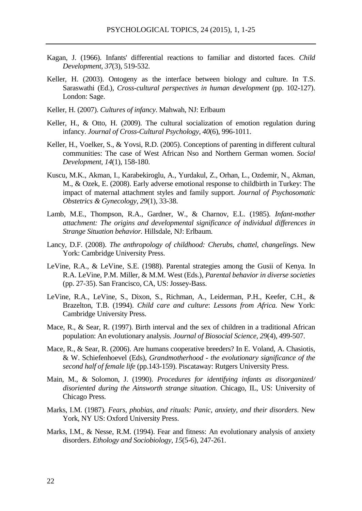- Kagan, J. (1966). Infants' differential reactions to familiar and distorted faces. *Child Development, 37*(3), 519-532.
- Keller, H. (2003). Ontogeny as the interface between biology and culture. In T.S. Saraswathi (Ed.), *Cross-cultural perspectives in human development* (pp. 102-127). London: Sage.
- Keller, H. (2007). *Cultures of infancy*. Mahwah, NJ: Erlbaum
- Keller, H., & Otto, H. (2009). The cultural socialization of emotion regulation during infancy. *Journal of Cross-Cultural Psychology, 40*(6), 996-1011.
- Keller, H., Voelker, S., & Yovsi, R.D. (2005). Conceptions of parenting in different cultural communities: The case of West African Nso and Northern German women. *Social Development, 14*(1), 158-180.
- Kuscu, M.K., Akman, I., Karabekiroglu, A., Yurdakul, Z., Orhan, L., Ozdemir, N., Akman, M., & Ozek, E. (2008). Early adverse emotional response to childbirth in Turkey: The impact of maternal attachment styles and family support. *Journal of Psychosomatic Obstetrics & Gynecology, 29*(1), 33-38.
- Lamb, M.E., Thompson, R.A., Gardner, W., & Charnov, E.L. (1985). *Infant-mother attachment: The origins and developmental significance of individual differences in Strange Situation behavior.* Hillsdale, NJ: Erlbaum.
- Lancy, D.F. (2008). *The anthropology of childhood: Cherubs, chattel, changelings*. New York: Cambridge University Press.
- LeVine, R.A., & LeVine, S.E. (1988). Parental strategies among the Gusii of Kenya*.* In R.A. LeVine, P.M. Miller, & M.M. West (Eds.), *Parental behavior in diverse societies* (pp. 27-35). San Francisco, CA, US: Jossey-Bass.
- LeVine, R.A., LeVine, S., Dixon, S., Richman, A., Leiderman, P.H., Keefer, C.H., & Brazelton, T.B. (1994). *Child care and culture*: *Lessons from Africa.* New York: Cambridge University Press.
- Mace, R., & Sear, R. (1997). Birth interval and the sex of children in a traditional African population: An evolutionary analysis. *Journal of Biosocial Science, 29*(4), 499-507.
- Mace, R., & Sear, R. (2006). Are humans cooperative breeders? In E. Voland, A. Chasiotis, & W. Schiefenhoevel (Eds), *Grandmotherhood - the evolutionary significance of the second half of female life* (pp.143-159). Piscataway: Rutgers University Press.
- Main, M., & Solomon, J. (1990). *Procedures for identifying infants as disorganized/ disoriented during the Ainsworth strange situation*. Chicago, IL, US: University of Chicago Press.
- Marks, I.M. (1987). *Fears, phobias, and rituals: Panic, anxiety, and their disorders*. New York, NY US: Oxford University Press.
- Marks, I.M., & Nesse, R.M. (1994). Fear and fitness: An evolutionary analysis of anxiety disorders. *Ethology and Sociobiology, 15*(5-6), 247-261.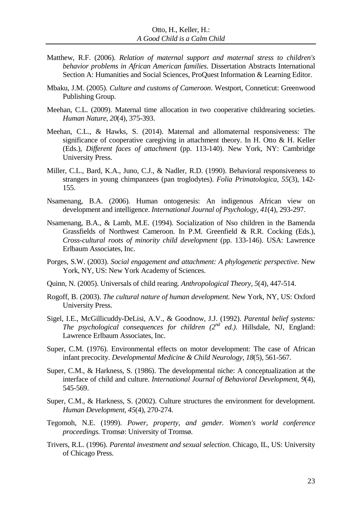- Matthew, R.F. (2006). *Relation of maternal support and maternal stress to children's behavior problems in African American families*. Dissertation Abstracts International Section A: Humanities and Social Sciences, ProQuest Information & Learning Editor.
- Mbaku, J.M. (2005). *Culture and customs of Cameroon*. Westport, Conneticut: Greenwood Publishing Group.
- Meehan, C.L. (2009). Maternal time allocation in two cooperative childrearing societies. *Human Nature, 20*(4), 375-393.
- Meehan, C.L., & Hawks, S. (2014). Maternal and allomaternal responsiveness: The significance of cooperative caregiving in attachment theory. In H. Otto & H. Keller (Eds.), *Different faces of attachment* (pp. 113-140). New York, NY: Cambridge University Press.
- Miller, C.L., Bard, K.A., Juno, C.J., & Nadler, R.D. (1990). Behavioral responsiveness to strangers in young chimpanzees (pan troglodytes). *Folia Primatologica, 55*(3), 142- 155.
- Nsamenang, B.A. (2006). Human ontogenesis: An indigenous African view on development and intelligence. *International Journal of Psychology, 41*(4), 293-297.
- Nsamenang, B.A., & Lamb, M.E. (1994). Socialization of Nso children in the Bamenda Grassfields of Northwest Cameroon. In P.M. Greenfield & R.R. Cocking (Eds.), *Cross-cultural roots of minority child development* (pp. 133-146). USA: Lawrence Erlbaum Associates, Inc.
- Porges, S.W. (2003). *Social engagement and attachment: A phylogenetic perspective*. New York, NY, US: New York Academy of Sciences.
- Quinn, N. (2005). Universals of child rearing. *Anthropological Theory, 5*(4), 447-514.
- Rogoff, B. (2003). *The cultural nature of human development*. New York, NY, US: Oxford University Press.
- Sigel, I.E., McGillicuddy-DeLisi, A.V., & Goodnow, J.J. (1992). *Parental belief systems: The psychological consequences for children (2nd ed.)*. Hillsdale, NJ, England: Lawrence Erlbaum Associates, Inc.
- Super, C.M. (1976). Environmental effects on motor development: The case of African infant precocity. *Developmental Medicine & Child Neurology, 18*(5), 561-567.
- Super, C.M., & Harkness, S. (1986). The developmental niche: A conceptualization at the interface of child and culture. *International Journal of Behavioral Development, 9*(4), 545-569.
- Super, C.M., & Harkness, S. (2002). Culture structures the environment for development. *Human Development, 45*(4), 270-274.
- Tegomoh, N.E. (1999). *Power, property, and gender. Women's world conference proceedings.* Tromsø: University of Tromsø.
- Trivers, R.L. (1996). *Parental investment and sexual selection*. Chicago, IL, US: University of Chicago Press.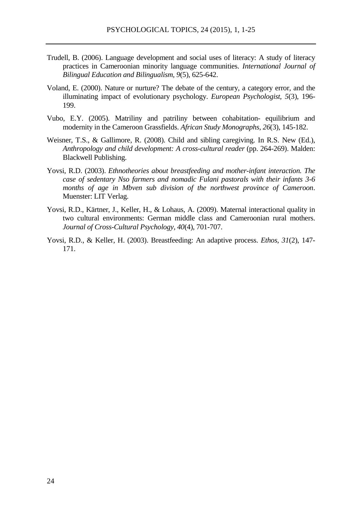- Trudell, B. (2006). Language development and social uses of literacy: A study of literacy practices in Cameroonian minority language communities. *International Journal of Bilingual Education and Bilingualism, 9*(5), 625-642.
- Voland, E. (2000). Nature or nurture? The debate of the century, a category error, and the illuminating impact of evolutionary psychology. *European Psychologist, 5*(3), 196- 199.
- Vubo, E.Y. (2005). Matriliny and patriliny between cohabitation- equilibrium and modernity in the Cameroon Grassfields. *African Study Monographs, 26*(3), 145-182.
- Weisner, T.S., & Gallimore, R. (2008). Child and sibling caregiving. In R.S. New (Ed.), *Anthropology and child development: A cross-cultural reader* (pp. 264-269). Malden: Blackwell Publishing.
- Yovsi, R.D. (2003). *Ethnotheories about breastfeeding and mother-infant interaction. The case of sedentary Nso farmers and nomadic Fulani pastorals with their infants 3-6 months of age in Mbven sub division of the northwest province of Cameroon*. Muenster: LIT Verlag.
- Yovsi, R.D., Kärtner, J., Keller, H., & Lohaus, A. (2009). Maternal interactional quality in two cultural environments: German middle class and Cameroonian rural mothers. *Journal of Cross-Cultural Psychology, 40*(4), 701-707.
- Yovsi, R.D., & Keller, H. (2003). Breastfeeding: An adaptive process. *Ethos, 31*(2), 147- 171.